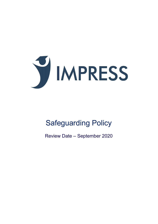

# Safeguarding Policy

Review Date – September 2020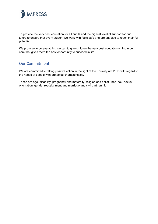

To provide the very best education for all pupils and the highest level of support for our tutors to ensure that every student we work with feels safe and are enabled to reach their full potential.

We promise to do everything we can to give children the very best education whilst in our care that gives them the best opportunity to succeed in life.

## <span id="page-1-0"></span>Our Commitment

We are committed to taking positive action in the light of the Equality Act 2010 with regard to the needs of people with protected characteristics.

These are age, disability, pregnancy and maternity, religion and belief, race, sex, sexual orientation, gender reassignment and marriage and civil partnership.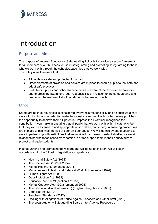

## Introduction

## <span id="page-2-0"></span>Purpose and Aims

The purpose of Impress Education's Safeguarding Policy is to provide a secure framework for all members of our business to use in safeguarding and promoting safeguarding to those who we work with through the schools/academies that we work with. The policy aims to ensure that:

- All pupils are safe and protected from harm
- Other elements of provision and policies are in place to enable pupils to feel safe and adopt safe practices
- Staff, tutors, pupils and schools/academies are aware of the expected behaviours and Impress the Examiners legal responsibilities in relation to the safeguarding and promoting the welfare of all of our students that we work with.

## <span id="page-2-1"></span>**Ethos**

Safeguarding in our business is considered everyone's responsibility and as such we aim to work with institutions in order to create the safest environment within which every pupil has the opportunity to achieve their full potential. Impress the Examiner recognises the contribution it can make in ensuring that all pupils that we work with within institutions feel that they will be listened to and appropriate action taken, particularly in ensuring procedures are in place to minimise the risk of peer-on-peer abuse. We will do this by endeavouring to work in partnership with institutions that we work with and seek to establish effective working relationships with these schools/academies in order support them in their endeavours to protect and equip students.

In safeguarding and promoting the welfare and wellbeing of children, we will act in accordance with the following legislation and guidance:

- Health and Safety Act (1974)
- The Children Act (1989 & 2004)
- Mental Health Act (amended 2007)
- Management of Health and Safety at Work Act (amended 1994)
- Human Rights Act (1998)
- Data Protection Act (1998)
- Education Act (2002) (section 175/157)
- Mental Capacity Act (1993) (amended 2005)
- The Education (Pupil Information) (England) Regulations (2005)
- Equalities Act (2010)
- Teachers' Standards (2012)
- Dealing with Allegations of Abuse Against Teachers and Other Staff (2012)
- The Local Authority Safeguarding Boards Inter-Agency Procedures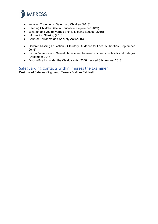

- Working Together to Safeguard Children (2018)
- Keeping Children Safe in Education (September 2019)
- What to do if you're worried a child is being abused (2015)
- Information Sharing (2018)
- Counter-Terrorism and Security Act (2015)
- Children Missing Education Statutory Guidance for Local Authorities (September 2016)
- Sexual Violence and Sexual Harassment between children in schools and colleges (December 2017)
- Disqualification under the Childcare Act 2006 (revised 31st August 2018)

### <span id="page-3-0"></span>Safeguarding Contacts within Impress the Examiner

Designated Safeguarding Lead: Tamara Budhan Caldwell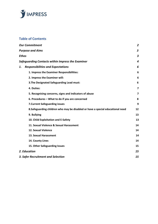

## **Table of Contents**

| <b>Our Commitment</b>                                                          | $\overline{2}$          |
|--------------------------------------------------------------------------------|-------------------------|
| <b>Purpose and Aims</b>                                                        | 3                       |
| <b>Ethos</b>                                                                   | $\overline{\mathbf{3}}$ |
| Safeguarding Contacts within Impress the Examiner                              | 4                       |
| <b>Responsibilities and Expectations</b><br>1.                                 | 6                       |
| 1. Impress the Examiner Responsibilities:                                      | 6                       |
| 2. Impress the Examiner will:                                                  | 6                       |
| 3. The Designated Safeguarding Lead must:                                      | 6                       |
| 4. Duties:                                                                     | $\overline{\mathbf{z}}$ |
| 5. Recognising concerns, signs and indicators of abuse                         | $\overline{7}$          |
| 6. Procedures - What to do if you are concerned                                | 8                       |
| 7. Current Safeguarding issues                                                 | 9                       |
| 8.Safeguarding children who may be disabled or have a special educational need | 12                      |
| 9. Bullying                                                                    | 13                      |
| 10. Child Exploitation and E-Safety                                            | 13                      |
| 11. Sexual Violence & Sexual Harassment                                        | 14                      |
| 12. Sexual Violence                                                            | 14                      |
| 13. Sexual Harassment                                                          | 14                      |
| 14. County Lines                                                               | 14                      |
| 15. Other Safeguarding Issues                                                  | 15                      |
| 2. Education                                                                   | 15                      |
| 3. Safer Recruitment and Selection                                             | 15                      |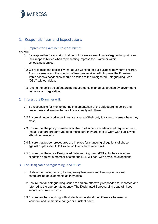

## <span id="page-5-0"></span>1. Responsibilities and Expectations

#### <span id="page-5-1"></span>1. Impress the Examiner Responsibilities

We will:

- 1.1 Be responsible for ensuring that our tutors are aware of our safe-guarding policy and their responsibilities when representing Impress the Examiner within schools/academies.
- 1.2 We recognise the possibility that adults working for our business may harm children. Any concerns about the conduct of teachers working with Impress the Examiner within schools/academies should be taken to the Designated Safeguarding Lead (DSL)) without delay;
- 1.3 Amend the policy as safeguarding requirements change as directed by government guidance and legislation.

#### <span id="page-5-2"></span>2. Impress the Examiner will:

- 2.1 Be responsible for monitoring the implementation of the safeguarding policy and procedures and ensure that our tutors comply with them.
- 2.2 Ensure all tutors working with us are aware of their duty to raise concerns where they exist.
- 2.3 Ensure that the policy is made available to all schools/academies (if requested) and that all staff are properly vetted to make sure they are safe to work with pupils who attend our sessions.
- 2.4 Ensure that proper procedures are in place for managing allegations of abuse against pupils (see Child Protection Policy and Procedure).
- 2.5 Ensure that there is a Designated Safeguarding Lead (DSL). In the case of an allegation against a member of staff, the DSL will deal with any such allegations.

#### <span id="page-5-3"></span>3. The Designated Safeguarding Lead must:

- 3.1 Update their safeguarding training every two years and keep up to date with safeguarding developments as they arise.
- 3.2 Ensure that all safeguarding issues raised are effectively responded to, recorded and referred to the appropriate agency. The Designated Safeguarding Lead will keep secure, accurate records.
- 3.3 Ensure teachers working with students understand the difference between a 'concern' and 'immediate danger or at risk of harm'.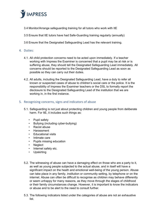

- 3.4 Monitor/Arrange safeguarding training for all tutors who work with ItE
- 3.5 Ensure that ItE tutors have had Safe-Guarding training regularly (annually)
- 3.6 Ensure that the Designated Safeguarding Lead has the relevant training.
- <span id="page-6-0"></span>4. Duties:
	- 4.1. All child protection concerns need to be acted upon immediately. If a teacher working with Impress the Examiner is concerned that a pupil may be at risk or is suffering abuse, they should tell the Designated Safeguarding Lead immediately. All concerns should be reported to the Designated Safeguarding Lead as soon as possible so they can carry out their duties.
	- 4.2. All adults, including the Designated Safeguarding Lead, have a duty to refer all known or suspected cases of abuse to children's social care or the police. It is the responsibility of Impress the Examiner teachers or the DSL to formally report the disclosure to the Designated Safeguarding Lead of the institution that we are working in, in the first instance.

#### <span id="page-6-1"></span>5. Recognising concerns, signs and indicators of abuse

- 5.1. Safeguarding is not just about protecting children and young people from deliberate harm. For ItE, it includes such things as:
	- Pupil safety
	- Bullying (including cyber-bullying)
	- Racist abuse
	- Harassment
	- **Educational visits**
	- Intimate care
	- Pupils missing education
	- Neglect
	- Internet safety etc.
	- **Upskirting**
- 5.2. The witnessing of abuse can have a damaging effect on those who are a party to it, as well as young people subjected to the actual abuse, and in itself will have a significant impact on the heath and emotional well-being of the young person. Abuse can take place in any family, institution or community setting, by telephone or on the internet. Abuse can often be difficult to recognise as children may behave differently or seem unhappy for many reasons, as they move through the stages of childhood or their family circumstances change. However, it is important to know the indicators or abuse and to be alert to the need to consult further.
- 5.3. The following indicators listed under the categories of abuse are not an exhaustive list.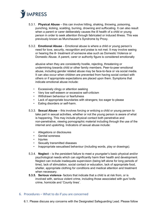

- 5.3.1. **Physical Abuse** this can involve hitting, shaking, throwing, poisoning, punching, kicking, scalding, burning, drowning and suffocating. It can also result when a parent or carer deliberately causes the ill health of a child or young person in order to seek attention through fabricated or induced illness. This was previously known as Munchausen's Syndrome by Proxy.
- 5.3.2. **Emotional Abuse** Emotional abuse is where a child or young person's need for love, security, recognition and praise is not met. It may involve seeing or hearing the ill- treatment of someone else such as Domestic Violence or Domestic Abuse. A parent, carer or authority figure is considered emotionally

abusive when they are consistently hostile, rejecting, threatening or undermining towards child or other family members. Peer-to-peer emotional abuse, including gender related abuse may be face-to-face or via social media. It can also occur when children are prevented from having social contact with others or if appropriate expectations are placed upon them. Symptoms that indicate emotional abuse include:

- Excessively clingy or attention seeking
- Very low self-esteem or excessive self-criticism
- Withdrawn behaviour or fearfulness
- Lack of appropriate boundaries with strangers; too eager to please
- Eating disorders or self-harm.
- 5.3.3. **Sexual Abuse** this involves forcing or enticing a child or young person to take part in sexual activities, whether or not the young person is aware of what is happening. This may include physical contact both penetrative and non-penetrative, viewing pornographic material including through the use of the internet and upskirting. Indicators of sexual abuse include:
	- Allegations or disclosures
	- Genital soreness
	- Injuries
	- Sexually transmitted diseases
	- Inappropriate sexualised behaviour (including words, play or drawings).
- 5.3.4. **Neglect** is the persistent failure to meet a youngster's basic physical and/or psychological needs which can significantly harm their health and development. Neglect can include inadequate supervision (being left alone for long periods of time), lack of stimulation, social contact or education, lack of appropriate food, shelter, appropriate clothing for conditions and medical attention and treatment when necessary.
- **5.3.5. Serious violence** factors that indicate that a child is at risk from, or is involved with, serious violent crime, including those associated with gun/ knife crime, homicide and 'County lines'.

#### <span id="page-7-0"></span>6. Procedures – What to do if you are concerned

6.1. Please discuss any concerns with the Designated Safeguarding Lead. Please follow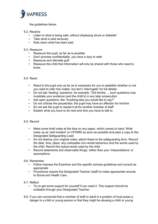

the guidelines below:

- 6.2. Receive
	- Listen to what is being said, without displaying shock or disbelief
	- Take what is said seriously
	- Note down what has been said.
- 6.3. Reassure
	- Reassure the pupil, as far as is possible
	- Don't promise confidentiality, you have a duty to refer
	- Reassure and alleviate quilt
	- Reassure the child that information will only be shared with those who need to know.

#### 6.4. React

- React to the pupil only as far as is necessary for you to establish whether or not you need to refer this matter, but don't 'interrogate' for full details
- Do not ask 'leading' questions, for example, "Did he/she..., such questions may invalidate your evidence (and the child's) in any later prosecution
- Ask open questions, like "Anything else you would like to say?"
- Do not criticise the perpetrator; the pupil may have an affection for him/her
- Do not ask the pupil to repeat it all for another member of staff
- Explain what you have to do next and who you have to talk to.

#### 6.5. Record

- Make some brief notes at the time on any paper, which comes to hand. Write notes up as 'add incident' on CPOMS as soon as possible and pass a copy to the Designated Safeguarding Lead
- Do not destroy your original notes; attach these to the safeguarding form. Record the date, time, place, any noticeable non-verbal behaviour and the words used by the child. Record the actual words used by the child
- Record statements and observable things, rather than your 'interpretations' or assumptions.

#### 6.6. Remember

- Follow Impress the Examiner and the specific schools guidelines and consult as appropriate
- Procedures require the Designated Teacher (staff) to make appropriate records to Social and Health Care.
- 6.7. Reflect
	- Try to get some support for yourself if you need it. This support should be available through your Designated Teacher.
- 6.8. If you are concerned that a member of staff or adult in a position of trust poses a danger to a child or young person or that they might be abusing a child or young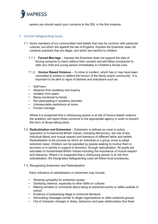

person you should report your concerns to the DSL in the first instance.

#### <span id="page-9-0"></span>7. Current Safeguarding issues

- 7.1. Some members of our communities hold beliefs that may be common with particular cultures, but which are against the law of England. Impress the Examiner does not condone practices that are illegal, and which are harmful to children.
	- 7.1.1. **Forced Marriage** Impress the Examiner does not support the idea of forcing someone to marry without their consent and will follow procedures to refer any child and young person immediately to Children's Social Care.
	- 7.1.2. **Honour Based Violence** 'A crime or incident, which has or may have been committed to protect or defend the honour of the family and/or community'. It is important to be alert to signs of distress and indications such as:
	- Self-harm
	- Absence from academy and truancy
	- Isolation from peers
	- Being monitored by family
	- Not participating in academy activities
	- Unreasonable restrictions at home
	- Forced marriage

Where it is suspected that a child/young person is at risk of honour-based violence the academy will report those concerns to the appropriate agency in order to prevent this form of abuse taking place.

- 7.2. **Radicalisation and Extremism** Extremism is defined as vocal or active opposition to fundamental British Values, including democracy, the rule of law, individual liberty and mutual respect and tolerance of different faiths and beliefs. Radicalisation is the process by which an individual or a group come to adopt extremist views. Children can be exploited by people seeking to involve them in terrorism or in activity in support of terrorism, through radicalisation. All pupils are educated on fundamental British Values including the importance of mutual respect and tolerance. Where it is suspected that a child/young person is at risk from radicalisation, the Designated Safeguarding Lead will follow local procedures.
- 7.3. Recognising Extremism and Radicalisation

Early indicators of radicalisation or extremism may include:

- Showing sympathy for extremist causes
- Glorifying violence, especially to other faiths or cultures
- Making remarks or comments about being at extremist events or rallies outside of school
- Evidence of possessing illegal or extremist literature
- Advocating messages similar to illegal organisations or other extremist groups
- Out of character changes in dress, behaviour and peer relationships (but there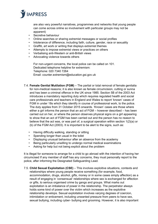

are also very powerful narratives, programmes and networks that young people can come across online so involvement with particular groups may not be apparent)

- Secretive behaviour
- Online searches or sharing extremist messages or social profiles
- Intolerance of difference, including faith, culture, gender, race or sexuality
- Graffiti, art work or writing that displays extremist themes
- Attempts to impose extremist views or practices on others
- Verbalising anti-Western or anti-British views
- Advocating violence towards others

For non-urgent concerns, the local police can be called on 101. Dedicated telephone helpline for extremism: Telephone: 020 7340 7264 Email: counter.extremism@education.gsi.gov.uk

- 7.4. **Female Genital Mutilation (FGM)** The partial or total removal of female genitalia for non-medical reasons; it is also known as female circumcision, cutting or sunna and has been a criminal offence in the UK since 1985. Section 5B of the 2003 Act introduces a mandatory reporting duty which requires regulated health and social care professionals and teachers in England and Wales to report 'known' cases of FGM in under 18s which they identify in course of professional work, to the police. The duty applies from 31 October 2015 onwards. 'Known' cases are those where either a girl informs the person that an act of FGM – however described – has been carried out on her, or where the person observes physical signs on a girl appearing to show that an act of FGM has been carried out and the person has no reason to believe that the act was, or was part of, a surgical operation within section 1(2)(a) or (b) of the FGM Act (2003). It is important to be alert to the signs, such as:
	- Having difficulty walking, standing or sitting
	- Spending longer than usual in the toilet
	- Displaying unusual behaviour after an absence from the academy
	- Being particularly unwilling to undergo normal medical examinations
	- Asking for help but not being explicit about the problem

It is illegal for someone to arrange for a child to go abroad with the intention of having her circumcised If any member of staff has any concerns, they must personally report to the police, after informing the Designated Safeguarding Lead.

7.5. **Child Sexual Exploitation (CSE)** – This involves exploitive situations, contexts and relationships where young people receive something (for example, food, accommodation, drugs, alcohol, gifts, money or in some cases simply affection) as a result of engaging in 'consensual' relationships where sex is exchanged for affection or gifts, to serious organised crime by gangs and groups. What marks out exploitation is an imbalance of power in the relationship. The perpetrator always holds some kind of power over the victim which increases as the exploitive relationship develops. Sexual exploitation involves varying degrees of coercion, intimidation or enticement, including unwanted pressure from peers to have sex, sexual bullying, including cyber- bullying and grooming. However, it is also important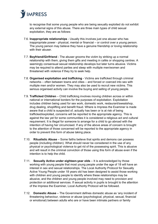

to recognise that some young people who are being sexually exploited do not exhibit any external signs of this abuse. There are three main types of child sexual exploitation, they are as follows:

- 7.6. **Inappropriate relationships** Usually this involves just one abuser who has inappropriate power - physical, mental or financial – or control over a young person. The young person may believe they have a genuine friendship or loving relationship with their abuser.
- 7.7. **Boyfriend/Girlfriend** The abuser grooms the victim by striking up a normal relationship with them, giving them gifts and meeting in cafés or shopping centres. A seemingly consensual sexual relationship develops but later turns abusive. Victims may be required to attend parties and sleep with multiple men/women and threatened with violence if they try to seek help.
- 7.8. **Organised exploitation and trafficking** Victims are trafficked through criminal networks – often between towns and cities – and forced or coerced into sex with multiple men and/or women. They may also be used to recruit new victims. This serious organised activity can involve the buying and selling of young people.
- 7.9. **Trafficked Children** Child trafficking involves moving children across or within national or international borders for the purposes of exploitation. Exploitation includes children being used for sex work, domestic work, restaurant/sweatshop, drug dealing, shoplifting and benefit fraud. Where is Impress the Examiner is made aware that a child is suspected of, actually has been or is at risk of being trafficked/exploited, concerns will be reported to the appropriate agency. This is against the law yet for some communities it is considered a religious act and cultural requirement. It is illegal for someone to arrange for a child to go abroad with the intention of having her circumcised. If any of the above areas of concern is brought to the attention of those concerned will be reported to the appropriate agency in order to prevent this form of abuse taking place.
- 7.10. **Ritualistic Abuse** Some faiths believe that spirits and demons can possess people (including children). What should never be considered in the use of any physical or psychological violence to get rid of the possessing spirit. This is abusive and will result in the criminal conviction of those using this form of abuse even if the intention is to help the child.
- 7.11. **Sexually Active under eighteen-year olds** It is acknowledged by those working with young people that most young people under the age of 18 will have an interest in sex and sexual relationships. The Local Authority Protocol for Sexually Active Young People under 18 years old has been designed to assist those working with children and young people to identify where these relationships may be abusive, and the children and young people involved may need to provision and protection or additional services. If sexual activity in pupils is brought to the attention of the Impress the Examiner, Local Authority Protocol will be followed.
- 7.12. **Domestic Abuse** The Government defines domestic abuse as 'any incident of threatening behaviour, violence or abuse (psychological, physical, sexual, financial or emotional) between adults who are or have been intimate partners or family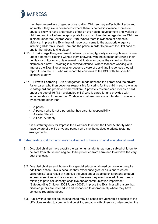

members, regardless of gender or sexuality'. Children may suffer both directly and indirectly if they live in households where there is domestic violence. Domestic abuse is likely to have a damaging effect on the health, development and welfare of children, and it will often be appropriate for such children to be regarded as Children in Need under the Children Act (1989). Where there is evidence of domestic violence, Impress the Examiner will report concerns to the appropriate agency including Children's Social Care and the police in order to prevent the likelihood of any further abuse taking place.

- **7.13. Upskirting** The government defines upskirting typically involving 'take a picture under a person's clothing without them knowing, with the intention of viewing their genitals or buttocks to obtain sexual gratification, or cause the victim humiliation, distress or alarm'. Upskirting is a criminal offence. Where teachers working with Impress the Examiner witness or become aware of upskirting incidences they will report this to the DSL who will report the concerns to the DSL with the specific school/academy.
- 7.14. **Private Fostering –** An arrangement made between the parent and the private foster carer, who then becomes responsible for caring for the child in such a way as to safeguard and promote his/her welfare. A privately fostered child means a child under the age of 16 (18 if a disabled child) who is cared for and provided with accommodation for more than 28 days and where the care is intended to continue by someone other than:
	- A parent
	- A person who is not a parent but has parental responsibility
	- A close relative
	- A Local Authority

It is a statutory duty for Impress the Examiner to inform the Local Authority when made aware of a child or young person who may be subject to private fostering arrangements.

#### <span id="page-12-0"></span>8. Safeguarding children who may be disabled or have a special educational need

- 8.1. Disabled children have exactly the same human rights, as non-disabled children, to be safe from abuse and neglect, to be protected from harm and to achieve the very best they can.
- 8.2. Disabled children and those with a special educational need do however, require additional action. This is because they experience greater risks and 'created vulnerability' as a result of negative attitudes about disabled children and unequal access to services and resources, and because they may have additional needs relating to physical, sensory, cognitive and/or communication impairment (Safeguarding Children, DCSF, July 2009). Impress the Examiner will ensure that disabled pupils are listened to and responded to appropriately where they have concerns regarding abuse.
- 8.3. Pupils with a special educational need may be especially vulnerable because of the difficulties related to communication skills, empathy with others or understanding the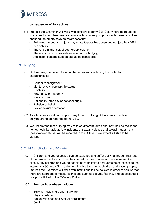

consequences of their actions.

- 8.4. Impress the Examiner will work with school/academy SENCos (where appropriate) to ensure that our teachers are aware of how to support pupils with these difficulties ensuring that tutors have an awareness that:
	- Behaviour, mood and injury may relate to possible abuse and not just their SEN or disability
	- There is a higher risk of peer group isolation
	- There any be a disproportionate impact of bullying
	- Additional pastoral support should be considered.

#### <span id="page-13-0"></span>9. Bullying

- 9.1. Children may be bullied for a number of reasons including the protected characteristics:
	- Gender reassignment
	- Marital or civil partnership status
	- Disability
	- Pregnancy or maternity
	- Race or colour
	- Nationality, ethnicity or national origin
	- Religion of belief
	- Sex or sexual orientation
- 9.2. As a business we do not support any form of bullying. All incidents of noticed bullying are to be reported to the DSL.
- 9.3. We understand that bullying may take on different forms and may include racist and homophobic behaviour. Any incidents of sexual violence and sexual harassment (peer-to-peer abuse) will be reported to the DSL and we expect all staff to be vigilant.

#### <span id="page-13-1"></span>10.Child Exploitation and E-Safety

10.1. Children and young people can be exploited and suffer bullying through their use of modern technology such as the internet, mobile phones and social networking sites. Many children and young people have unlimited and unrestricted access to the internet via 3G and 4G. In order to minimise the risks to children and young people, Impress the Examiner will work with institutions in line policies in order to ensure that there are appropriate measures in place such as security filtering, and an acceptable use policy linked to the E-Safety Policy.

#### 10.2. **Peer on Peer Abuse includes**:

- Bullying (including Cyber-Bullying)
- Physical Abuse
- Sexual Violence and Sexual Harassment
- Sexting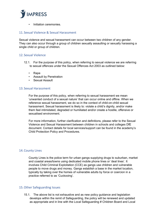

• Initiation ceremonies.

#### <span id="page-14-0"></span>11. Sexual Violence & Sexual Harassment

Sexual violence and sexual harassment can occur between two children of any gender. They can also occur through a group of children sexually assaulting or sexually harassing a single child or group of children.

#### <span id="page-14-1"></span>12. Sexual Violence

- 12.1. For the purpose of this policy, when referring to sexual violence we are referring to sexual offences under the Sexual Offences Act 2003 as outlined below:
	- Rape
	- Assault by Penetration
	- Sexual Assault

#### <span id="page-14-2"></span>13. Sexual Harassment

For the purpose of this policy, when referring to sexual harassment we mean 'unwanted conduct of a sexual nature' that can occur online and offline. When we reference sexual harassment, we do so in the context of child-on-child sexual harassment. Sexual harassment is likely to: violate a child's dignity, and/or make them feel intimidated, degraded or humiliated and/or create a hostile, offensive or sexualised environment.

For more information, further clarification and definitions, please refer to the Sexual Violence and Sexual Harassment between children in schools and colleges DfE document. Contact details for local services/support can be found in the academy's Child Protection Policy and Procedures.

#### <span id="page-14-3"></span>14.County Lines

County Lines is the police term for urban gangs supplying drugs to suburban, market and coastal areas/towns using dedicated mobile phone lines or 'deal lines'. It involves Child Criminal Exploitation (CCE) as gangs use children and vulnerable people to move drugs and money. Gangs establish a base in the market location, typically by taking over the homes of vulnerable adults by force or coercion in a practice referred to as 'Cuckooing'.

#### <span id="page-14-4"></span>15.Other Safeguarding Issues

15.1. The above list is not exhaustive and as new policy guidance and legislation develops within the remit of Safeguarding, the policy will be renewed and updated as appropriate and in line with the Local Safeguarding # Children Board and Local